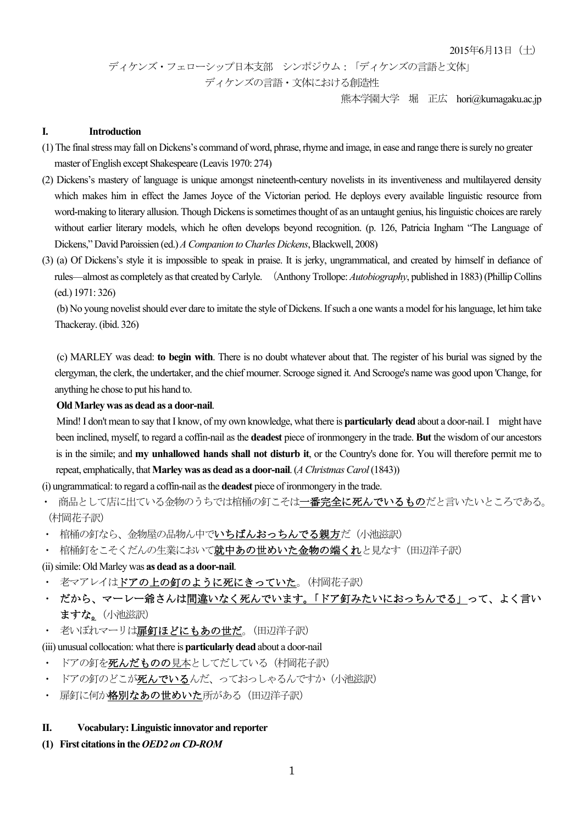ディケンズ・フェローシップ日本支部 シンポジウム:「ディケンズの言語と文体」

ディケンズの言語・文体における創造性

熊本学園大学 堀 正広 hori@kumagaku.ac.jp

### **I. Introduction**

- (1) The final stress may fall on Dickens's command of word, phrase, rhyme and image, in ease and range there is surely no greater master of English except Shakespeare (Leavis 1970: 274)
- (2) Dickens's mastery of language is unique amongst nineteenth-century novelists in its inventiveness and multilayered density which makes him in effect the James Joyce of the Victorian period. He deploys every available linguistic resource from word-making to literary allusion. Though Dickens is sometimes thought of as an untaught genius, his linguistic choices are rarely without earlier literary models, which he often develops beyond recognition. (p. 126, Patricia Ingham "The Language of Dickens," David Paroissien (ed.) *A Companion to Charles Dickens*, Blackwell, 2008)
- (3) (a) Of Dickens's style it is impossible to speak in praise. It is jerky, ungrammatical, and created by himself in defiance of rules—almost as completely as that created by Carlyle. (Anthony Trollope: *Autobiography*, published in 1883) (Phillip Collins (ed.) 1971: 326)

(b) No young novelist should ever dare to imitate the style of Dickens. If such a one wants a model for his language, let him take Thackeray. (ibid. 326)

(c) MARLEY was dead: **to begin with**. There is no doubt whatever about that. The register of his burial was signed by the clergyman, the clerk, the undertaker, and the chief mourner. Scrooge signed it. And Scrooge's name was good upon 'Change, for anything he chose to put his hand to.

## **Old Marley was as dead as a door-nail**.

 Mind! I don't mean to say that I know, of my own knowledge, what there is **particularly dead** about a door-nail. I might have been inclined, myself, to regard a coffin-nail as the **deadest** piece of ironmongery in the trade. **But** the wisdom of our ancestors is in the simile; and **my unhallowed hands shall not disturb it**, or the Country's done for. You will therefore permit me to repeat, emphatically, that **Marley was as dead as a door-nail**. (*A Christmas Carol* (1843))

(i) ungrammatical: to regard a coffin-nail as the **deadest** piece of ironmongery in the trade.

- 商品として店に出ている金物のうちでは棺桶の釘こそは一番完全に死んでいるものだと言いたいところである。 (村岡花子訳)
- 棺桶の釘なら、金物屋の品物ん中でいちばんおっちんでる親方だ(小池滋訳)
- 棺桶釘をこそくだんの生業において就中あの世めいた金物の端くれと見なす(田辺洋子訳)
- (ii) simile: Old Marley was **as dead as a door-nail**.
- ・ 老マアレイはドアの上の釘のように死にきっていた。(村岡花子訳)
- ・ だから、マーレー爺さんは間違いなく死んでいます。「ドア釘みたいにおっちんでる」って、よく言い ますな。(小池滋訳)
- 老いぼれマーリは扉釘ほどにもあの世だ。(田辺洋子訳)

(iii) unusual collocation: what there is **particularly dead** about a door-nail

- ドアの釘を死んだものの見本としてだしている (村岡花子訳)
- ドアの釘のどこが死んでいるんだ、っておっしゃるんですか(小池滋訳)
- 扉釘に何か格別なあの世めいた所がある (田辺洋子訳)

### **II. Vocabulary: Linguistic innovator and reporter**

**(1) First citationsin the** *OED2 on CD-ROM*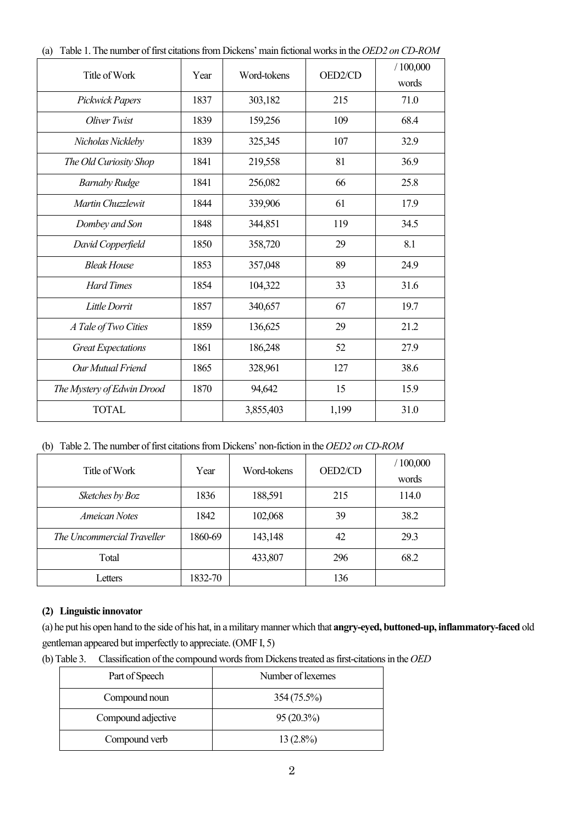| Title of Work              | Year | Word-tokens | OED2/CD | /100,000<br>words |
|----------------------------|------|-------------|---------|-------------------|
| Pickwick Papers            | 1837 | 303,182     | 215     | 71.0              |
| Oliver Twist               | 1839 | 159,256     | 109     | 68.4              |
| Nicholas Nickleby          | 1839 | 325,345     | 107     | 32.9              |
| The Old Curiosity Shop     | 1841 | 219,558     | 81      | 36.9              |
| <b>Barnaby Rudge</b>       | 1841 | 256,082     | 66      | 25.8              |
| Martin Chuzzlewit          | 1844 | 339,906     | 61      | 17.9              |
| Dombey and Son             | 1848 | 344,851     | 119     | 34.5              |
| David Copperfield          | 1850 | 358,720     | 29      | 8.1               |
| <b>Bleak House</b>         | 1853 | 357,048     | 89      | 24.9              |
| <b>Hard Times</b>          | 1854 | 104,322     | 33      | 31.6              |
| Little Dorrit              | 1857 | 340,657     | 67      | 19.7              |
| A Tale of Two Cities       | 1859 | 136,625     | 29      | 21.2              |
| <b>Great Expectations</b>  | 1861 | 186,248     | 52      | 27.9              |
| Our Mutual Friend          | 1865 | 328,961     | 127     | 38.6              |
| The Mystery of Edwin Drood | 1870 | 94,642      | 15      | 15.9              |
| <b>TOTAL</b>               |      | 3,855,403   | 1,199   | 31.0              |

(a) Table 1. The number of first citations from Dickens' main fictional works in the *OED2 on CD-ROM*

(b) Table 2. The number of first citations from Dickens' non-fiction in the *OED2 on CD-ROM*

| Title of Work              | Year    | Word-tokens | OED2/CD | /100,000<br>words |
|----------------------------|---------|-------------|---------|-------------------|
| Sketches by Boz            | 1836    | 188,591     | 215     | 114.0             |
| Ameican Notes              | 1842    | 102,068     | 39      | 38.2              |
| The Uncommercial Traveller | 1860-69 | 143,148     | 42      | 29.3              |
| Total                      |         | 433,807     | 296     | 68.2              |
| Letters                    | 1832-70 |             | 136     |                   |

# **(2) Linguistic innovator**

(a) he put his open hand to the side of his hat, in a military manner which that **angry-eyed, buttoned-up, inflammatory-faced** old gentleman appeared but imperfectly to appreciate. (OMF I, 5)

(b) Table 3. Classification of the compound words from Dickens treated as first-citations in the *OED*

| Part of Speech     | Number of lexemes |
|--------------------|-------------------|
| Compound noun      | 354 (75.5%)       |
| Compound adjective | $95(20.3\%)$      |
| Compound verb      | $13(2.8\%)$       |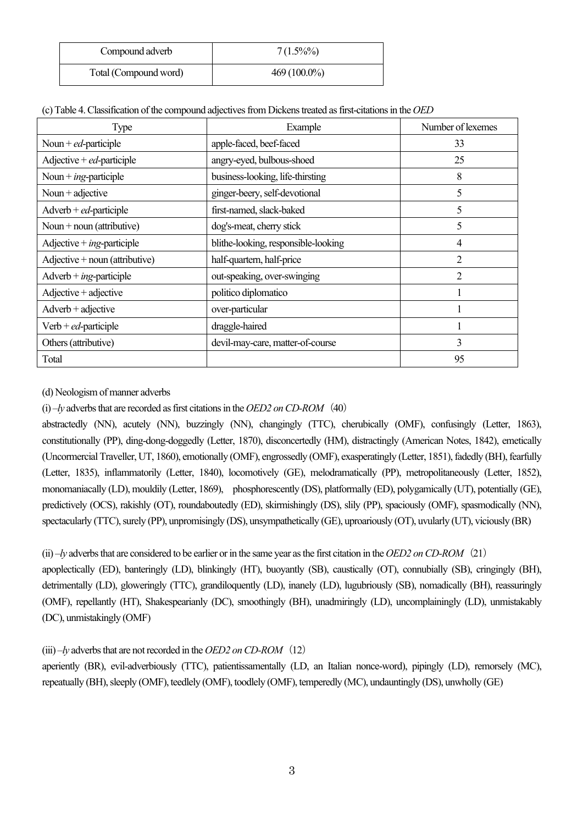| Compound adverb       | $7(1.5\%)\%$   |
|-----------------------|----------------|
| Total (Compound word) | $469(100.0\%)$ |

| (c) Table 4. Classification of the compound adjectives from Dickens treated as first-citations in the OED |  |
|-----------------------------------------------------------------------------------------------------------|--|
|                                                                                                           |  |

| Type                                  | Example                             | Number of lexemes |
|---------------------------------------|-------------------------------------|-------------------|
| Noun + $ed$ -participle               | apple-faced, beef-faced             | 33                |
| Adjective + $ed$ -participle          | angry-eyed, bulbous-shoed           | 25                |
| Noun + $ing$ -participle              | business-looking, life-thirsting    | 8                 |
| Noun + adjective                      | ginger-beery, self-devotional       | 5                 |
| $Adverb+ed-participle$                | first-named, slack-baked            | 5                 |
| Noun + noun (attributive)             | dog's-meat, cherry stick            | 5                 |
| Adjective + $ing$ -participle         | blithe-looking, responsible-looking | 4                 |
| $Adjective + noun (attribute)$        | half-quartern, half-price           | $\overline{2}$    |
| $Adverb + ing-participle$             | out-speaking, over-swinging         | 2                 |
| $\text{Adjective} + \text{adjective}$ | politico diplomatico                |                   |
| $Adverb + adjective$                  | over-particular                     |                   |
| Verb + $ed$ -participle               | draggle-haired                      |                   |
| Others (attributive)                  | devil-may-care, matter-of-course    | 3                 |
| Total                                 |                                     | 95                |

(d) Neologism of manner adverbs

(i) –*ly* adverbs that are recorded as first citations in the *OED2 on CD-ROM*(40)

abstractedly (NN), acutely (NN), buzzingly (NN), changingly (TTC), cherubically (OMF), confusingly (Letter, 1863), constitutionally (PP), ding-dong-doggedly (Letter, 1870), disconcertedly (HM), distractingly (American Notes, 1842), emetically (Uncormercial Traveller, UT, 1860), emotionally (OMF), engrossedly (OMF), exasperatingly (Letter, 1851), fadedly (BH), fearfully (Letter, 1835), inflammatorily (Letter, 1840), locomotively (GE), melodramatically (PP), metropolitaneously (Letter, 1852), monomaniacally (LD), mouldily (Letter, 1869), phosphorescently (DS), platformally (ED), polygamically (UT), potentially (GE), predictively (OCS), rakishly (OT), roundaboutedly (ED), skirmishingly (DS), slily (PP), spaciously (OMF), spasmodically (NN), spectacularly (TTC), surely (PP), unpromisingly (DS), unsympathetically (GE), uproariously (OT), uvularly (UT), viciously (BR)

(ii) –*ly* adverbs that are considered to be earlier or in the same year as the first citation in the *OED2 on CD-ROM*(21)

apoplectically (ED), banteringly (LD), blinkingly (HT), buoyantly (SB), caustically (OT), connubially (SB), cringingly (BH), detrimentally (LD), gloweringly (TTC), grandiloquently (LD), inanely (LD), lugubriously (SB), nomadically (BH), reassuringly (OMF), repellantly (HT), Shakespearianly (DC), smoothingly (BH), unadmiringly (LD), uncomplainingly (LD), unmistakably (DC), unmistakingly (OMF)

# (iii) –*ly* adverbs that are not recorded in the *OED2 on CD-ROM*(12)

aperiently (BR), evil-adverbiously (TTC), patientissamentally (LD, an Italian nonce-word), pipingly (LD), remorsely (MC), repeatually (BH), sleeply (OMF), teedlely (OMF), toodlely (OMF), temperedly (MC), undauntingly (DS), unwholly (GE)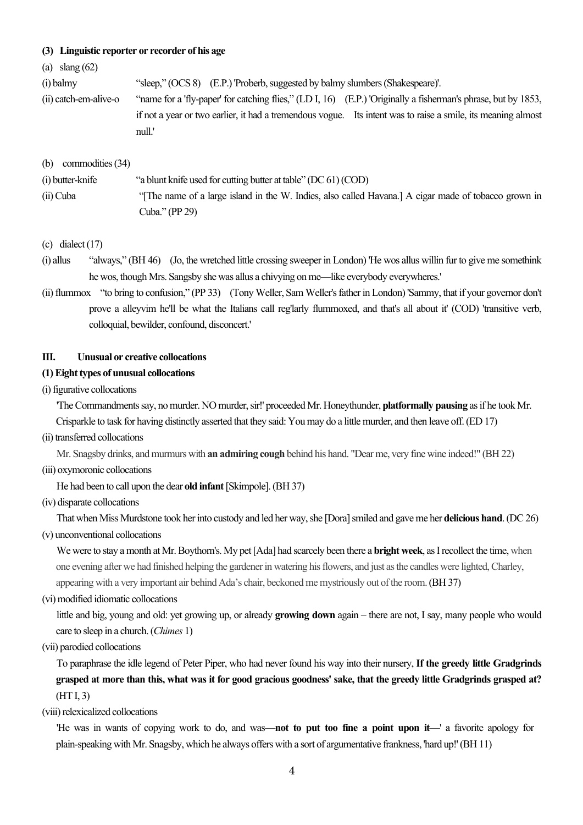### **(3) Linguistic reporter or recorder of his age**

### (a) slang (62)

(i) balmy "sleep," (OCS 8) (E.P.) 'Proberb, suggested by balmy slumbers (Shakespeare)'.

(ii) catch-em-alive-o "name for a 'fly-paper' for catching flies," (LD I, 16) (E.P.) 'Originally a fisherman's phrase, but by 1853, if not a year or two earlier, it had a tremendous vogue. Its intent was to raise a smile, its meaning almost null.'

(b) commodities (34)

- (i) butter-knife "a blunt knife used for cutting butter at table" (DC 61) (COD) (ii) Cuba "[The name of a large island in the W. Indies, also called Havana.] A cigar made of tobacco grown in Cuba." (PP 29)
- $(c)$  dialect  $(17)$
- (i) allus "always," (BH 46) (Jo, the wretched little crossing sweeper in London) 'He wos allus willin fur to give me somethink he wos, though Mrs. Sangsby she was allus a chivying on me—like everybody everywheres.'
- (ii) flummox "to bring to confusion," (PP 33) (Tony Weller, Sam Weller's father in London) 'Sammy, that if your governor don't prove a alleyvim he'll be what the Italians call reg'larly flummoxed, and that's all about it' (COD) 'transitive verb, colloquial, bewilder, confound, disconcert.'

### **III. Unusual or creative collocations**

### **(1) Eight types of unusual collocations**

(i) figurative collocations

'The Commandments say, no murder. NO murder, sir!' proceeded Mr. Honeythunder, **platformally pausing** as if he took Mr.

Crisparkle to task for having distinctly asserted that they said: You may do a little murder, and then leave off. (ED 17)

(ii) transferred collocations

Mr. Snagsby drinks, and murmurs with **an admiring cough** behind his hand. "Dear me, very fine wine indeed!" (BH 22)

(iii) oxymoronic collocations

He had been to call upon the dear **old infant**[Skimpole]. (BH 37)

(iv) disparate collocations

That when Miss Murdstone took her into custody and led her way, she [Dora] smiled and gave me her **delicious hand**. (DC 26)

(v) unconventional collocations

We were to stay a month at Mr. Boythorn's. My pet [Ada] had scarcely been there a **bright week**, as I recollect the time, when one evening after we had finished helping the gardener in watering his flowers, and just as the candles were lighted, Charley, appearing with a very important air behind Ada's chair, beckoned me mystriously out of the room.(BH 37)

(vi) modified idiomatic collocations

 little and big, young and old: yet growing up, or already **growing down** again – there are not, I say, many people who would care to sleep in a church. (*Chimes* 1)

(vii) parodied collocations

 To paraphrase the idle legend of Peter Piper, who had never found his way into their nursery, **If the greedy little Gradgrinds grasped at more than this, what was it for good gracious goodness' sake, that the greedy little Gradgrinds grasped at?** (HT I, 3)

(viii) relexicalized collocations

 'He was in wants of copying work to do, and was—**not to put too fine a point upon it**—' a favorite apology for plain-speaking with Mr. Snagsby, which he always offers with a sort of argumentative frankness, 'hard up!' (BH 11)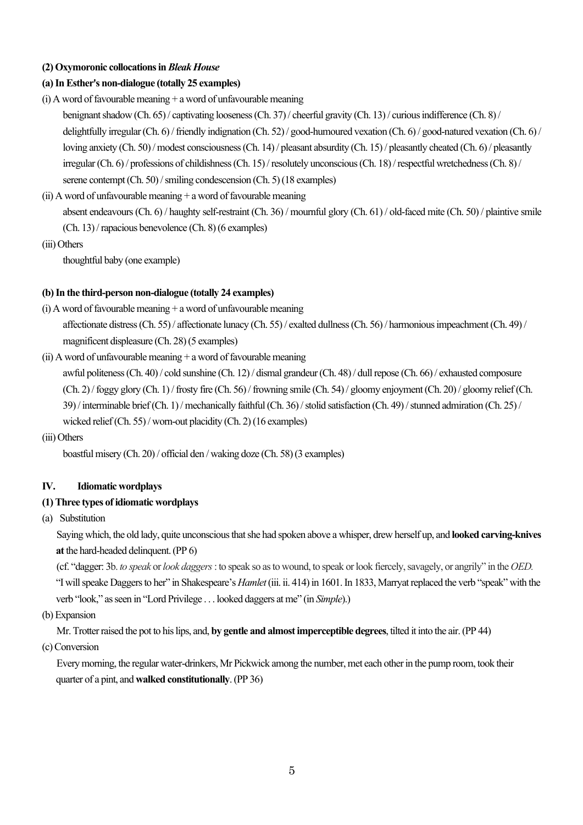## **(2) Oxymoronic collocations in** *Bleak House*

# **(a) In Esther's non-dialogue (totally 25 examples)**

- (i) A word of favourable meaning + a word of unfavourable meaning benignant shadow (Ch. 65) / captivating looseness(Ch. 37) / cheerful gravity (Ch. 13) / curious indifference (Ch. 8) / delightfully irregular (Ch. 6) / friendly indignation (Ch. 52) / good-humoured vexation (Ch. 6) / good-natured vexation (Ch. 6) / loving anxiety (Ch. 50) / modest consciousness (Ch. 14) / pleasant absurdity (Ch. 15) / pleasantly cheated (Ch. 6) / pleasantly irregular (Ch. 6) / professions of childishness (Ch. 15) / resolutely unconscious (Ch. 18) / respectful wretchedness (Ch. 8) / serene contempt(Ch. 50) / smiling condescension (Ch. 5) (18 examples)
- (ii) A word of unfavourable meaning  $+$  a word of favourable meaning absent endeavours(Ch. 6) / haughty self-restraint (Ch. 36) / mournful glory (Ch. 61) / old-faced mite (Ch. 50) / plaintive smile (Ch. 13) / rapacious benevolence (Ch. 8) (6 examples)
- (iii) Others

thoughtful baby (one example)

# **(b) In the third-person non-dialogue (totally 24 examples)**

- $(i)$  A word of favourable meaning  $+$  a word of unfavourable meaning affectionate distress(Ch. 55) / affectionate lunacy (Ch. 55) / exalted dullness(Ch. 56) / harmonious impeachment(Ch. 49)/ magnificent displeasure (Ch. 28) (5 examples)
- (ii) A word of unfavourable meaning  $+$  a word of favourable meaning

awful politeness (Ch. 40) / cold sunshine (Ch. 12) / dismal grandeur (Ch. 48) / dull repose (Ch. 66) / exhausted composure (Ch. 2) / foggy glory (Ch. 1) / frosty fire (Ch. 56) / frowning smile (Ch. 54) / gloomy enjoyment (Ch. 20) / gloomy relief (Ch. 39) / interminable brief(Ch. 1) / mechanically faithful (Ch. 36) / stolid satisfaction (Ch. 49) / stunned admiration (Ch. 25) / wicked relief(Ch. 55) / worn-out placidity (Ch. 2) (16 examples)

(iii) Others

boastful misery (Ch. 20) / official den / waking doze (Ch. 58) (3 examples)

# **IV. Idiomatic wordplays**

# **(1) Three types of idiomatic wordplays**

(a) Substitution

 Saying which, the old lady, quite unconscious that she had spoken above a whisper, drew herself up, and **looked carving-knives at**the hard-headed delinquent. (PP 6)

 (cf. "dagger: 3b. *to speak* or*look daggers*: to speak so as to wound, to speak or look fiercely, savagely, or angrily" in the *OED.* "I will speake Daggers to her" in Shakespeare's *Hamlet* (iii. ii. 414)in 1601. In 1833, Marryat replaced the verb "speak" with the verb "look," as seen in "Lord Privilege . . . looked daggers at me" (in *Simple*).)

(b) Expansion

Mr. Trotter raised the pot to his lips, and, **by gentle and almost imperceptible degrees**, tilted it into the air. (PP 44)

(c) Conversion

 Every morning, the regular water-drinkers, Mr Pickwick among the number, met each other in the pump room, took their quarter of a pint, and **walked constitutionally**. (PP 36)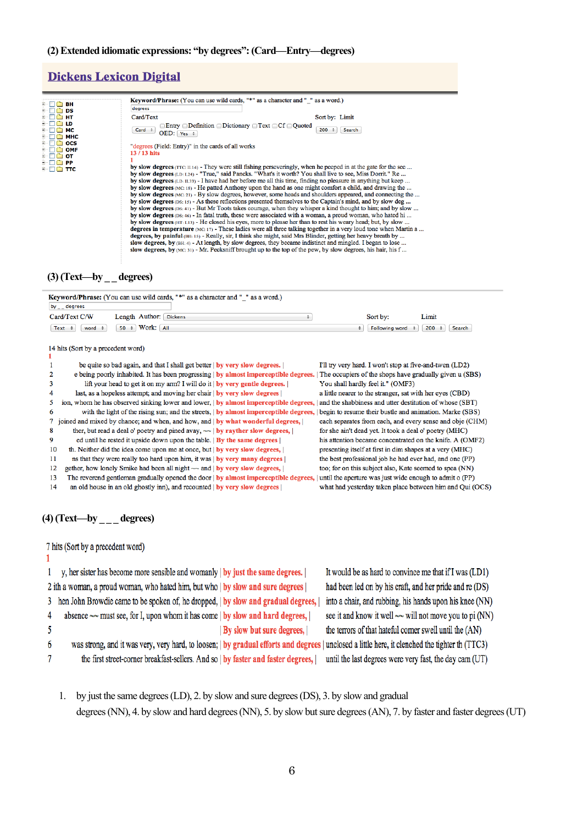# **Dickens Lexicon Digital**

| $\overline{+}$ $\Box$ $\overline{}$ BH<br>DS<br><b>F-M6</b>                                               | <b>Keyword/Phrase:</b> (You can use wild cards, "*" as a character and " " as a word.)<br>dearees                                                                                                                                                                                                                                                                                                                                                                                                                                                                                                                                                                                                                                                                                                                                                                                                                                                                                                                                                                                                                                                                                                                                                                                                                                                                                                                                                                                                                     |                      |
|-----------------------------------------------------------------------------------------------------------|-----------------------------------------------------------------------------------------------------------------------------------------------------------------------------------------------------------------------------------------------------------------------------------------------------------------------------------------------------------------------------------------------------------------------------------------------------------------------------------------------------------------------------------------------------------------------------------------------------------------------------------------------------------------------------------------------------------------------------------------------------------------------------------------------------------------------------------------------------------------------------------------------------------------------------------------------------------------------------------------------------------------------------------------------------------------------------------------------------------------------------------------------------------------------------------------------------------------------------------------------------------------------------------------------------------------------------------------------------------------------------------------------------------------------------------------------------------------------------------------------------------------------|----------------------|
| ∓⊹⊡<br>нт                                                                                                 | Card/Text                                                                                                                                                                                                                                                                                                                                                                                                                                                                                                                                                                                                                                                                                                                                                                                                                                                                                                                                                                                                                                                                                                                                                                                                                                                                                                                                                                                                                                                                                                             | Sort by: Limit       |
| $F - \Box$<br>LD<br>МC<br>$\overline{+}$<br>- 79<br>мнс                                                   | $\Box$ Entry $\Box$ Definition $\Box$ Dictionary $\Box$ Text $\Box$ Cf $\Box$ Quoted<br>Card $\div$<br>$OED:$ Yes $\div$                                                                                                                                                                                                                                                                                                                                                                                                                                                                                                                                                                                                                                                                                                                                                                                                                                                                                                                                                                                                                                                                                                                                                                                                                                                                                                                                                                                              | $200 \div$<br>Search |
| ocs<br><b>OMF</b><br>$+ -$<br>от<br>n a                                                                   | "degrees (Field: Entry)" in the cards of all works<br>$13/13$ hits                                                                                                                                                                                                                                                                                                                                                                                                                                                                                                                                                                                                                                                                                                                                                                                                                                                                                                                                                                                                                                                                                                                                                                                                                                                                                                                                                                                                                                                    |                      |
| $\blacksquare$ $\blacksquare$ $\blacksquare$ $\blacksquare$ $\blacksquare$ $\blacksquare$<br>∓⊹⊡<br>ை TTC | by slow degrees (TTC: II.14) - They were still fishing perseveringly, when he peeped in at the gate for the sec<br>by slow degrees (LD: 1.24) - "True," said Pancks. "What's it worth? You shall live to see, Miss Dorrit." Re<br>by slow degrees $(LD: II.33)$ - I have had her before me all this time, finding no pleasure in anything but keep<br>by slow degrees (MC: 18) - He patted Anthony upon the hand as one might comfort a child, and drawing the<br>by slow degrees $(MC; 21)$ - By slow degrees, however, some heads and shoulders appeared, and connecting the<br>by slow degrees ( $DS: 15$ ) - As these reflections presented themselves to the Captain's mind, and by slow deg<br>by slow degrees (DS: 41) - But Mr Toots takes courage, when they whisper a kind thought to him; and by slow<br>by slow degrees $(DS: 46)$ - In fatal truth, these were associated with a woman, a proud woman, who hated hi<br>by slow degrees (HT: 1.13) - He closed his eyes, more to please her than to rest his weary head; but, by slow<br>degrees in temperature (MC: 17) - These ladies were all three talking together in a very loud tone when Martin a<br>degrees, by painful (BH: 15) - Really, sir, I think she might, said Mrs Blinder, getting her heavy breath by<br>slow degrees, by (BH: 4) - At length, by slow degrees, they became indistinct and mingled. I began to lose<br>slow degrees, by $(MC; 31)$ - Mr. Pecksniff brought up to the top of the pew, by slow degrees, his hair, his f |                      |

# **(3)** (Text—by \_ \_ degrees)

| Keyword/Phrase: (You can use wild cards, "*" as a character and "_" as a word.)<br>by $\_\_$ degrees |                                                                                       |                                                          |               |
|------------------------------------------------------------------------------------------------------|---------------------------------------------------------------------------------------|----------------------------------------------------------|---------------|
| Card/Text C/W<br>Length Author: Dickens                                                              | ÷                                                                                     | Sort by:                                                 | Limit         |
| Work: All<br>$50 \div$<br>Text $\div$<br>word $\div$                                                 |                                                                                       | Following word<br>÷                                      | 200<br>Search |
| 14 hits (Sort by a precedent word)<br>1                                                              |                                                                                       |                                                          |               |
| be quite so bad again, and that I shall get better   by very slow degrees.                           |                                                                                       | I'll try very hard. I won't stop at five-and-twen (LD2)  |               |
| 2                                                                                                    | e being poorly inhabited. It has been progressing   by almost imperceptible degrees.  | The occupiers of the shops have gradually given u (SBS)  |               |
| lift your head to get it on my arm? I will do it $\vert$ by very gentle degrees.<br>3                |                                                                                       | You shall hardly feel it." (OMF3)                        |               |
| last, as a hopeless attempt; and moving her chair   by very slow degrees  <br>4                      |                                                                                       | a little nearer to the stranger, sat with her eyes (CBD) |               |
| ion, whom he has observed sinking lower and lower, by almost imperceptible degrees,<br>5             |                                                                                       | and the shabbiness and utter destitution of whose (SBT)  |               |
| 6                                                                                                    | with the light of the rising sun; and the streets,   by almost imperceptible degrees, | begin to resume their bustle and animation. Marke (SBS)  |               |
| 7 joined and mixed by chance; and when, and how, and   by what wonderful degrees,                    |                                                                                       | each separates from each, and every sense and obje (CHM) |               |
| ther, but read a deal o' poetry and pined avay, $\sim$   by rayther slow degrees,  <br>8             |                                                                                       | for she ain't dead yet. It took a deal o' poetry (MHC)   |               |
| ed until he rested it upside down upon the table. $\vert$ By the same degrees $\vert$<br>9           |                                                                                       | his attention became concentrated on the knife. A (OMF2) |               |
| 10<br>th. Neither did the idea come upon me at once, but   by very slow degrees,                     |                                                                                       | presenting itself at first in dim shapes at a very (MHC) |               |
| 11<br>ns that they were really too hard upon him, it was   by very many degrees                      |                                                                                       | the best professional job he had ever had, and one (PP)  |               |
| gether, how lonely Smike had been all night $\sim$ and   by very slow degrees,  <br>12               |                                                                                       | too; for on this subject also, Kate seemed to spea (NN)  |               |
| 13<br>The reverend gentleman gradually opened the door $\vert$ by almost imperceptible degrees,      |                                                                                       | until the aperture was just wide enough to admit o (PP)  |               |
| 14<br>an old house in an old ghostly inn), and recounted   by very slow degrees                      |                                                                                       | what had yesterday taken place between him and Qui (OCS) |               |

## **(4) (Text—by \_ \_ \_ degrees)**

7 hits (Sort by a precedent word)  $\mathbf{1}$ 

|   | 1 y, her sister has become more sensible and womanly   by just the same degrees.                                                                | It would be as hard to convince me that if I was (LD1)      |
|---|-------------------------------------------------------------------------------------------------------------------------------------------------|-------------------------------------------------------------|
|   | 2 ith a woman, a proud woman, who hated him, but who   by slow and sure degrees                                                                 | had been led on by his craft, and her pride and re (DS)     |
|   | 3 hen John Browdie came to be spoken of, he dropped,   by slow and gradual degrees,                                                             | into a chair, and rubbing, his hands upon his knee (NN)     |
| 4 | absence $\sim$ must see, for I, upon whom it has come   by slow and hard degrees,                                                               | see it and know it well $\sim$ will not move you to pi (NN) |
|   | By slow but sure degrees,                                                                                                                       | the terrors of that hateful corner swell until the (AN)     |
| 6 | was strong, and it was very, very hard, to loosen;   by gradual efforts and degrees   unclosed a little here, it clenched the tighter th (TTC3) |                                                             |
|   | the first street-corner breakfast-sellers. And so   by faster and faster degrees,                                                               | until the last degrees were very fast, the day cam (UT)     |
|   |                                                                                                                                                 |                                                             |

1. by just the same degrees (LD), 2. by slow and sure degrees (DS), 3. by slow and gradual degrees (NN), 4. by slow and hard degrees (NN), 5. by slow but sure degrees (AN), 7. by faster and faster degrees (UT)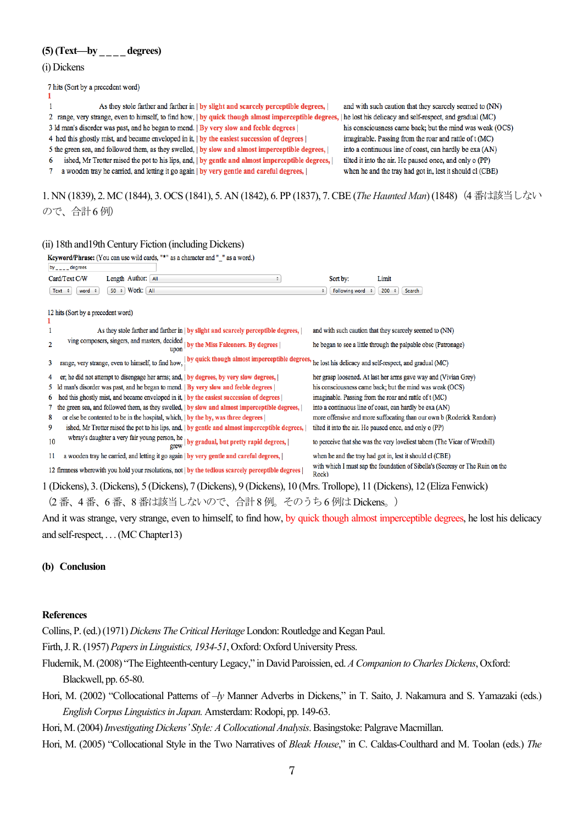## **(5) (Text—by \_ \_ \_ \_ degrees)**

#### (i) Dickens

7 hits (Sort by a precedent word)

As they stole farther and farther in | by slight and scarcely perceptible degrees, |  $\mathbf{1}$ 2 range, very strange, even to himself, to find how, | by quick though almost imperceptible degrees, | he lost his delicacy and self-respect, and gradual (MC) 3 ld man's disorder was past, and he began to mend. | By very slow and feeble degrees | 4 hed this ghostly mist, and became enveloped in it, | by the easiest succession of degrees | 5 the green sea, and followed them, as they swelled, | by slow and almost imperceptible degrees, | ished, Mr Trotter raised the pot to his lips, and, | by gentle and almost imperceptible degrees, | 6 a wooden tray he carried, and letting it go again | by very gentle and careful degrees, |  $7^{\circ}$ 

and with such caution that they scarcely seemed to (NN) his consciousness came back; but the mind was weak (OCS) imaginable. Passing from the roar and rattle of t (MC) into a continuous line of coast, can hardly be exa (AN) tilted it into the air. He paused once, and only o (PP) when he and the tray had got in, lest it should cl (CBE)

1. NN (1839), 2. MC (1844), 3. OCS (1841), 5. AN (1842), 6. PP (1837), 7. CBE (*The Haunted Man*)(1848)(4 番は該当しない ので、合計6 例)

### (ii) 18th and19th Century Fiction (including Dickens)

| Keyword/Phrase: (You can use wild cards, "*" as a character and "_" as a word.)                                        |                                                                                        |  |  |
|------------------------------------------------------------------------------------------------------------------------|----------------------------------------------------------------------------------------|--|--|
| by $\sqrt{2}$ = $\sqrt{2}$ degrees                                                                                     |                                                                                        |  |  |
| Card/Text C/W<br>Length Author: All<br>÷                                                                               | Sort by:<br>Limit                                                                      |  |  |
| 50 ÷ Work: All<br>word $\div$<br>Text $\div$                                                                           | 200<br>Following word<br>Search<br>$\div$                                              |  |  |
| 12 hits (Sort by a precedent word)                                                                                     |                                                                                        |  |  |
|                                                                                                                        |                                                                                        |  |  |
| As they stole farther and farther in $\vert$ by slight and scarcely perceptible degrees, $\vert$                       | and with such caution that they scarcely seemed to (NN)                                |  |  |
| ving composers, singers, and masters, decided<br>by the Miss Falconers. By degrees  <br>$\overline{c}$<br>upon         | he began to see a little through the palpable obsc (Patronage)                         |  |  |
| range, very strange, even to himself, to find how,   by quick though almost imperceptible degrees,<br>3                | he lost his delicacy and self-respect, and gradual (MC)                                |  |  |
| er; he did not attempt to disengage her arms; and,   by degrees, by very slow degrees,  <br>4                          | her grasp loosened. At last her arms gave way and (Vivian Grey)                        |  |  |
| man's disorder was past, and he began to mend.   By very slow and feeble degrees                                       | his consciousness came back; but the mind was weak (OCS)                               |  |  |
| hed this ghostly mist, and became enveloped in it,   by the easiest succession of degrees  <br>6                       | imaginable. Passing from the roar and rattle of t (MC)                                 |  |  |
| the green sea, and followed them, as they swelled,   by slow and almost imperceptible degrees,                         | into a continuous line of coast, can hardly be exa (AN)                                |  |  |
| or else be contented to be in the hospital, which,   by the by, was three degrees  <br>8                               | more offensive and more suffocating than our own b (Roderick Random)                   |  |  |
| ished, Mr Trotter raised the pot to his lips, and,   by gentle and almost imperceptible degrees,  <br>9                | tilted it into the air. He paused once, and only o (PP)                                |  |  |
| wbray's daughter a very fair young person, he $_{\rm{grew}}$ l by gradual, but pretty rapid degrees, $ $<br>10         | to perceive that she was the very loveliest tabern (The Vicar of Wrexhill)             |  |  |
| a wooden tray he carried, and letting it go again   by very gentle and careful degrees,  <br>11                        | when he and the tray had got in, lest it should cl (CBE)                               |  |  |
| 12 firmness wherewith you hold your resolutions, not   by the tedious scarcely perceptible degrees                     | with which I must sap the foundation of Sibella's (Secresy or The Ruin on the<br>Rock) |  |  |
| 1 (Dickens), 3. (Dickens), 5 (Dickens), 7 (Dickens), 9 (Dickens), 10 (Mrs. Trollope), 11 (Dickens), 12 (Eliza Fenwick) |                                                                                        |  |  |
| المناصر والمطاري فالمستحدث والمستحدث والمستحدث والمستحدث والمستحدث والمستحدث والمستحدث والمستحدث والمستحدث             |                                                                                        |  |  |

(2 番、4 番、6 番、8 番は該当しないので、合計8 例。そのうち6 例はDickens。)

And it was strange, very strange, even to himself, to find how, by quick though almost imperceptible degrees, he lost his delicacy and self-respect, . . . (MC Chapter13)

#### **(b) Conclusion**

#### **References**

Collins, P.(ed.) (1971) *Dickens The Critical Heritage* London: Routledge and Kegan Paul.

- Firth, J. R. (1957) *Papers in Linguistics, 1934-51*, Oxford: Oxford University Press.
- Fludernik, M.(2008) "The Eighteenth-century Legacy," in David Paroissien, ed. *A Companion to Charles Dickens*, Oxford: Blackwell, pp. 65-80.
- Hori, M. (2002) "Collocational Patterns of –*ly* Manner Adverbs in Dickens," in T. Saito, J. Nakamura and S. Yamazaki (eds.) *English Corpus Linguistics in Japan.* Amsterdam: Rodopi, pp. 149-63.
- Hori, M. (2004) *Investigating Dickens' Style: A Collocational Analysis*. Basingstoke: Palgrave Macmillan.
- Hori, M. (2005) "Collocational Style in the Two Narratives of *Bleak House*," in C. Caldas-Coulthard and M. Toolan (eds.) *The*